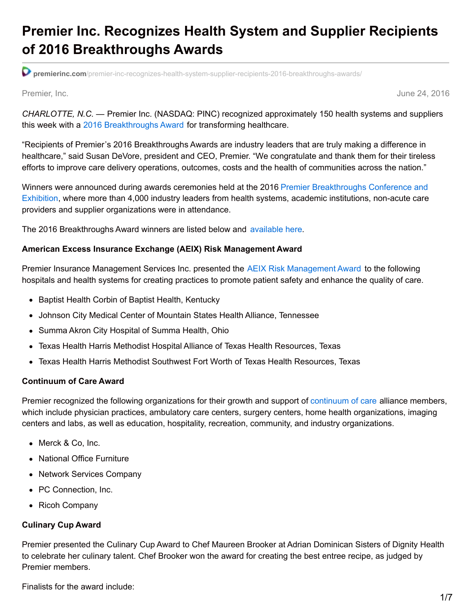# **Premier Inc. Recognizes Health System and Supplier Recipients of 2016 Breakthroughs Awards**

**premierinc.com**[/premier-inc-recognizes-health-system-supplier-recipients-2016-breakthroughs-awards/](https://www.premierinc.com/premier-inc-recognizes-health-system-supplier-recipients-2016-breakthroughs-awards/)

Premier, Inc. June 24, 2016

*CHARLOTTE, N.C. —* Premier Inc. (NASDAQ: PINC) recognized approximately 150 health systems and suppliers this week with a 2016 [Breakthroughs](https://www.premierinc.com/about-premier/about-us/awards-recognition/awards-premier/premier-award-winners/) Award for transforming healthcare.

"Recipients of Premier's 2016 Breakthroughs Awards are industry leaders that are truly making a difference in healthcare," said Susan DeVore, president and CEO, Premier. "We congratulate and thank them for their tireless efforts to improve care delivery operations, outcomes, costs and the health of communities across the nation."

Winners were announced during awards ceremonies held at the 2016 Premier [Breakthroughs](http://breakthroughs.premierinc.com/) Conference and Exhibition, where more than 4,000 industry leaders from health systems, academic institutions, non-acute care providers and supplier organizations were in attendance.

The 2016 Breakthroughs Award winners are listed below and [available](https://www.premierinc.com/about-premier/about-us/awards-recognition/awards-premier/premier-award-winners/) here.

#### **American Excess Insurance Exchange (AEIX) Risk Management Award**

Premier Insurance [Management](http://www.aeixrrg.com/) Services Inc. presented the AEIX Risk Management Award to the following hospitals and health systems for creating practices to promote patient safety and enhance the quality of care.

- Baptist Health Corbin of Baptist Health, Kentucky
- Johnson City Medical Center of Mountain States Health Alliance, Tennessee
- Summa Akron City Hospital of Summa Health, Ohio
- Texas Health Harris Methodist Hospital Alliance of Texas Health Resources, Texas
- Texas Health Harris Methodist Southwest Fort Worth of Texas Health Resources, Texas

#### **Continuum of Care Award**

Premier recognized the following organizations for their growth and support of [continuum](https://www.premierinc.com/transforming-healthcare/healthcare-performance-improvement/supply-chain-management/continuum-care/) of care alliance members, which include physician practices, ambulatory care centers, surgery centers, home health organizations, imaging centers and labs, as well as education, hospitality, recreation, community, and industry organizations.

- Merck & Co, Inc.
- National Office Furniture
- Network Services Company
- PC Connection, Inc.
- Ricoh Company

#### **Culinary Cup Award**

Premier presented the Culinary Cup Award to Chef Maureen Brooker at Adrian Dominican Sisters of Dignity Health to celebrate her culinary talent. Chef Brooker won the award for creating the best entree recipe, as judged by Premier members.

Finalists for the award include: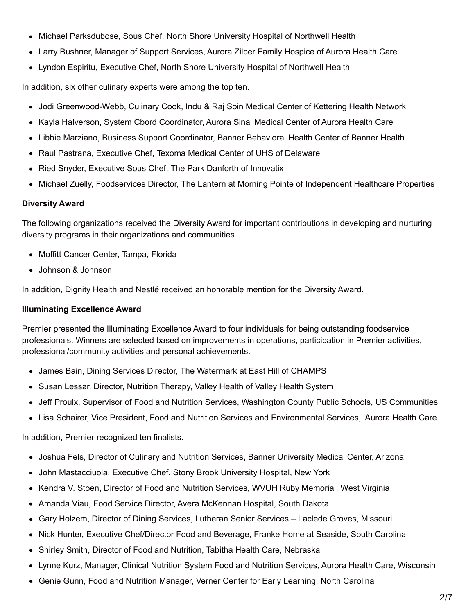- Michael Parksdubose, Sous Chef, North Shore University Hospital of Northwell Health
- Larry Bushner, Manager of Support Services, Aurora Zilber Family Hospice of Aurora Health Care
- Lyndon Espiritu, Executive Chef, North Shore University Hospital of Northwell Health

In addition, six other culinary experts were among the top ten.

- Jodi Greenwood-Webb, Culinary Cook, Indu & Raj Soin Medical Center of Kettering Health Network
- Kayla Halverson, System Cbord Coordinator, Aurora Sinai Medical Center of Aurora Health Care
- Libbie Marziano, Business Support Coordinator, Banner Behavioral Health Center of Banner Health
- Raul Pastrana, Executive Chef, Texoma Medical Center of UHS of Delaware
- Ried Snyder, Executive Sous Chef, The Park Danforth of Innovatix
- Michael Zuelly, Foodservices Director, The Lantern at Morning Pointe of Independent Healthcare Properties

### **Diversity Award**

The following organizations received the Diversity Award for important contributions in developing and nurturing diversity programs in their organizations and communities.

- Moffitt Cancer Center, Tampa, Florida
- Johnson & Johnson

In addition, Dignity Health and Nestlé received an honorable mention for the Diversity Award.

### **Illuminating Excellence Award**

Premier presented the Illuminating Excellence Award to four individuals for being outstanding foodservice professionals. Winners are selected based on improvements in operations, participation in Premier activities, professional/community activities and personal achievements.

- James Bain, Dining Services Director, The Watermark at East Hill of CHAMPS
- Susan Lessar, Director, Nutrition Therapy, Valley Health of Valley Health System
- Jeff Proulx, Supervisor of Food and Nutrition Services, Washington County Public Schools, US Communities
- Lisa Schairer, Vice President, Food and Nutrition Services and Environmental Services, Aurora Health Care

In addition, Premier recognized ten finalists.

- Joshua Fels, Director of Culinary and Nutrition Services, Banner University Medical Center, Arizona
- John Mastacciuola, Executive Chef, Stony Brook University Hospital, New York
- Kendra V. Stoen, Director of Food and Nutrition Services, WVUH Ruby Memorial, West Virginia
- Amanda Viau, Food Service Director, Avera McKennan Hospital, South Dakota
- Gary Holzem, Director of Dining Services, Lutheran Senior Services Laclede Groves, Missouri
- Nick Hunter, Executive Chef/Director Food and Beverage, Franke Home at Seaside, South Carolina
- Shirley Smith, Director of Food and Nutrition, Tabitha Health Care, Nebraska
- Lynne Kurz, Manager, Clinical Nutrition System Food and Nutrition Services, Aurora Health Care, Wisconsin
- Genie Gunn, Food and Nutrition Manager, Verner Center for Early Learning, North Carolina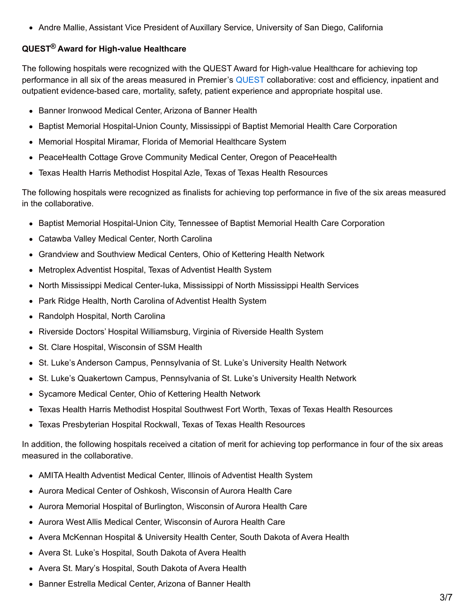• Andre Mallie, Assistant Vice President of Auxillary Service, University of San Diego, California

### **QUEST® Award for High-value Healthcare**

The following hospitals were recognized with the QUEST Award for High-value Healthcare for achieving top performance in all six of the areas measured in Premier's [QUEST](https://www.premierinc.com/premier-inc-announces-quest-2020/) collaborative: cost and efficiency, inpatient and outpatient evidence-based care, mortality, safety, patient experience and appropriate hospital use.

- Banner Ironwood Medical Center, Arizona of Banner Health
- Baptist Memorial Hospital-Union County, Mississippi of Baptist Memorial Health Care Corporation
- Memorial Hospital Miramar, Florida of Memorial Healthcare System
- PeaceHealth Cottage Grove Community Medical Center, Oregon of PeaceHealth
- Texas Health Harris Methodist Hospital Azle, Texas of Texas Health Resources

The following hospitals were recognized as finalists for achieving top performance in five of the six areas measured in the collaborative.

- Baptist Memorial Hospital-Union City, Tennessee of Baptist Memorial Health Care Corporation
- Catawba Valley Medical Center, North Carolina
- Grandview and Southview Medical Centers, Ohio of Kettering Health Network
- Metroplex Adventist Hospital, Texas of Adventist Health System
- North Mississippi Medical Center-Iuka, Mississippi of North Mississippi Health Services
- Park Ridge Health, North Carolina of Adventist Health System
- Randolph Hospital, North Carolina
- Riverside Doctors' Hospital Williamsburg, Virginia of Riverside Health System
- St. Clare Hospital, Wisconsin of SSM Health
- St. Luke's Anderson Campus, Pennsylvania of St. Luke's University Health Network
- St. Luke's Quakertown Campus, Pennsylvania of St. Luke's University Health Network
- Sycamore Medical Center, Ohio of Kettering Health Network
- Texas Health Harris Methodist Hospital Southwest Fort Worth, Texas of Texas Health Resources
- Texas Presbyterian Hospital Rockwall, Texas of Texas Health Resources

In addition, the following hospitals received a citation of merit for achieving top performance in four of the six areas measured in the collaborative.

- AMITA Health Adventist Medical Center, Illinois of Adventist Health System
- Aurora Medical Center of Oshkosh, Wisconsin of Aurora Health Care
- Aurora Memorial Hospital of Burlington, Wisconsin of Aurora Health Care
- Aurora West Allis Medical Center, Wisconsin of Aurora Health Care
- Avera McKennan Hospital & University Health Center, South Dakota of Avera Health
- Avera St. Luke's Hospital, South Dakota of Avera Health
- Avera St. Mary's Hospital, South Dakota of Avera Health
- Banner Estrella Medical Center, Arizona of Banner Health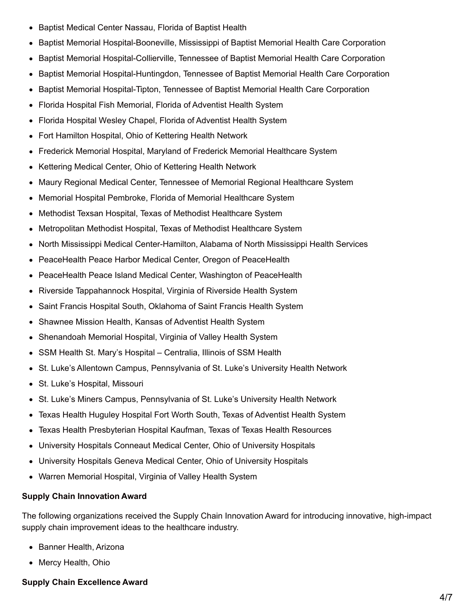- Baptist Medical Center Nassau, Florida of Baptist Health  $\bullet$
- Baptist Memorial Hospital-Booneville, Mississippi of Baptist Memorial Health Care Corporation
- Baptist Memorial Hospital-Collierville, Tennessee of Baptist Memorial Health Care Corporation  $\bullet$
- Baptist Memorial Hospital-Huntingdon, Tennessee of Baptist Memorial Health Care Corporation  $\bullet$
- Baptist Memorial Hospital-Tipton, Tennessee of Baptist Memorial Health Care Corporation
- Florida Hospital Fish Memorial, Florida of Adventist Health System  $\bullet$
- Florida Hospital Wesley Chapel, Florida of Adventist Health System
- Fort Hamilton Hospital, Ohio of Kettering Health Network  $\bullet$
- Frederick Memorial Hospital, Maryland of Frederick Memorial Healthcare System  $\bullet$
- Kettering Medical Center, Ohio of Kettering Health Network  $\bullet$
- Maury Regional Medical Center, Tennessee of Memorial Regional Healthcare System  $\bullet$
- Memorial Hospital Pembroke, Florida of Memorial Healthcare System  $\bullet$
- Methodist Texsan Hospital, Texas of Methodist Healthcare System  $\bullet$
- Metropolitan Methodist Hospital, Texas of Methodist Healthcare System  $\bullet$
- North Mississippi Medical Center-Hamilton, Alabama of North Mississippi Health Services  $\bullet$
- PeaceHealth Peace Harbor Medical Center, Oregon of PeaceHealth
- PeaceHealth Peace Island Medical Center, Washington of PeaceHealth  $\bullet$
- Riverside Tappahannock Hospital, Virginia of Riverside Health System  $\bullet$
- Saint Francis Hospital South, Oklahoma of Saint Francis Health System  $\bullet$
- Shawnee Mission Health, Kansas of Adventist Health System  $\bullet$
- Shenandoah Memorial Hospital, Virginia of Valley Health System
- SSM Health St. Mary's Hospital Centralia, Illinois of SSM Health  $\bullet$
- St. Luke's Allentown Campus, Pennsylvania of St. Luke's University Health Network  $\bullet$
- St. Luke's Hospital, Missouri  $\bullet$
- St. Luke's Miners Campus, Pennsylvania of St. Luke's University Health Network  $\bullet$
- Texas Health Huguley Hospital Fort Worth South, Texas of Adventist Health System  $\bullet$
- Texas Health Presbyterian Hospital Kaufman, Texas of Texas Health Resources  $\bullet$
- University Hospitals Conneaut Medical Center, Ohio of University Hospitals
- University Hospitals Geneva Medical Center, Ohio of University Hospitals
- Warren Memorial Hospital, Virginia of Valley Health System

## **Supply Chain Innovation Award**

The following organizations received the Supply Chain Innovation Award for introducing innovative, high-impact supply chain improvement ideas to the healthcare industry.

- Banner Health, Arizona
- Mercy Health, Ohio

## **Supply Chain Excellence Award**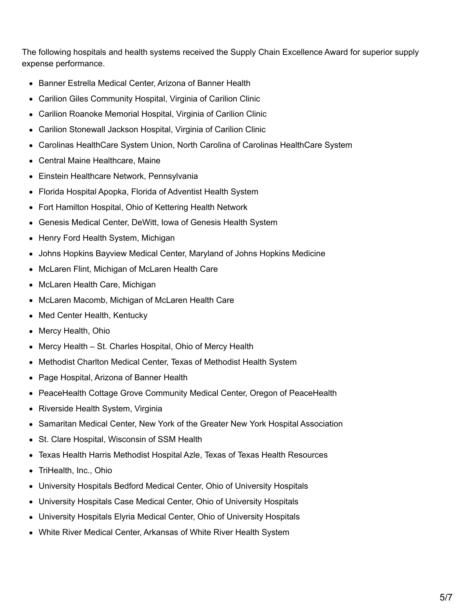The following hospitals and health systems received the Supply Chain Excellence Award for superior supply expense performance.

- Banner Estrella Medical Center, Arizona of Banner Health
- Carilion Giles Community Hospital, Virginia of Carilion Clinic  $\bullet$
- Carilion Roanoke Memorial Hospital, Virginia of Carilion Clinic
- Carilion Stonewall Jackson Hospital, Virginia of Carilion Clinic
- Carolinas HealthCare System Union, North Carolina of Carolinas HealthCare System
- Central Maine Healthcare, Maine
- Einstein Healthcare Network, Pennsylvania
- Florida Hospital Apopka, Florida of Adventist Health System
- Fort Hamilton Hospital, Ohio of Kettering Health Network  $\bullet$
- Genesis Medical Center, DeWitt, Iowa of Genesis Health System
- Henry Ford Health System, Michigan
- Johns Hopkins Bayview Medical Center, Maryland of Johns Hopkins Medicine
- McLaren Flint, Michigan of McLaren Health Care  $\bullet$
- McLaren Health Care, Michigan  $\bullet$
- McLaren Macomb, Michigan of McLaren Health Care  $\bullet$
- Med Center Health, Kentucky  $\bullet$
- Mercy Health, Ohio
- Mercy Health St. Charles Hospital, Ohio of Mercy Health
- Methodist Charlton Medical Center, Texas of Methodist Health System
- Page Hospital, Arizona of Banner Health
- PeaceHealth Cottage Grove Community Medical Center, Oregon of PeaceHealth
- Riverside Health System, Virginia
- Samaritan Medical Center, New York of the Greater New York Hospital Association  $\bullet$
- St. Clare Hospital, Wisconsin of SSM Health
- Texas Health Harris Methodist Hospital Azle, Texas of Texas Health Resources
- TriHealth, Inc., Ohio  $\bullet$
- University Hospitals Bedford Medical Center, Ohio of University Hospitals
- University Hospitals Case Medical Center, Ohio of University Hospitals
- University Hospitals Elyria Medical Center, Ohio of University Hospitals
- White River Medical Center, Arkansas of White River Health System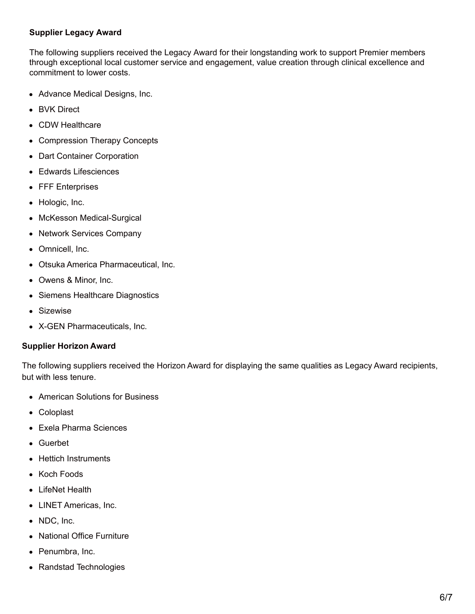#### **Supplier Legacy Award**

The following suppliers received the Legacy Award for their longstanding work to support Premier members through exceptional local customer service and engagement, value creation through clinical excellence and commitment to lower costs.

- Advance Medical Designs, Inc.
- BVK Direct
- CDW Healthcare
- Compression Therapy Concepts
- Dart Container Corporation
- Edwards Lifesciences
- FFF Enterprises
- Hologic, Inc.
- McKesson Medical-Surgical
- Network Services Company
- Omnicell, Inc.
- Otsuka America Pharmaceutical, Inc.
- Owens & Minor, Inc.
- Siemens Healthcare Diagnostics
- Sizewise
- X-GEN Pharmaceuticals, Inc.

#### **Supplier Horizon Award**

The following suppliers received the Horizon Award for displaying the same qualities as Legacy Award recipients, but with less tenure.

- American Solutions for Business
- Coloplast
- Exela Pharma Sciences
- Guerbet
- Hettich Instruments
- Koch Foods
- LifeNet Health
- LINET Americas, Inc.
- NDC, Inc.
- National Office Furniture
- Penumbra, Inc.
- Randstad Technologies